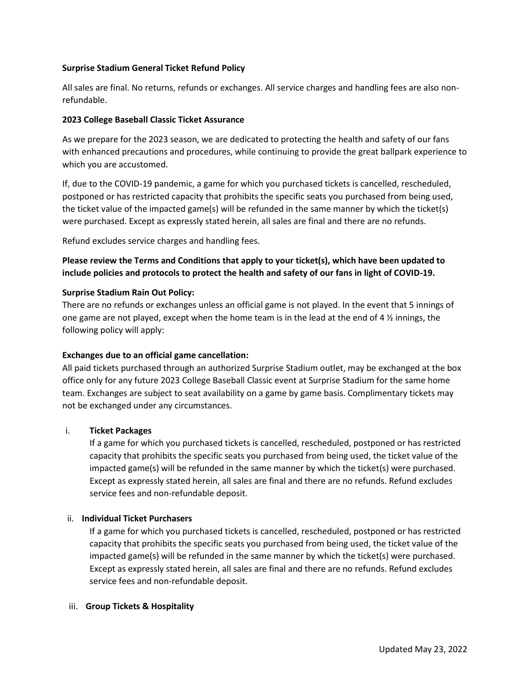## **Surprise Stadium General Ticket Refund Policy**

All sales are final. No returns, refunds or exchanges. All service charges and handling fees are also nonrefundable.

#### **2023 College Baseball Classic Ticket Assurance**

As we prepare for the 2023 season, we are dedicated to protecting the health and safety of our fans with enhanced precautions and procedures, while continuing to provide the great ballpark experience to which you are accustomed.

If, due to the COVID-19 pandemic, a game for which you purchased tickets is cancelled, rescheduled, postponed or has restricted capacity that prohibits the specific seats you purchased from being used, the ticket value of the impacted game(s) will be refunded in the same manner by which the ticket(s) were purchased. Except as expressly stated herein, all sales are final and there are no refunds.

Refund excludes service charges and handling fees.

**Please review the Terms and Conditions that apply to your ticket(s), which have been updated to include policies and protocols to protect the health and safety of our fans in light of COVID-19.**

### **Surprise Stadium Rain Out Policy:**

There are no refunds or exchanges unless an official game is not played. In the event that 5 innings of one game are not played, except when the home team is in the lead at the end of 4  $\frac{1}{2}$  innings, the following policy will apply:

## **Exchanges due to an official game cancellation:**

All paid tickets purchased through an authorized Surprise Stadium outlet, may be exchanged at the box office only for any future 2023 College Baseball Classic event at Surprise Stadium for the same home team. Exchanges are subject to seat availability on a game by game basis. Complimentary tickets may not be exchanged under any circumstances.

## i. **Ticket Packages**

If a game for which you purchased tickets is cancelled, rescheduled, postponed or has restricted capacity that prohibits the specific seats you purchased from being used, the ticket value of the impacted game(s) will be refunded in the same manner by which the ticket(s) were purchased. Except as expressly stated herein, all sales are final and there are no refunds. Refund excludes service fees and non-refundable deposit.

#### ii. **Individual Ticket Purchasers**

If a game for which you purchased tickets is cancelled, rescheduled, postponed or has restricted capacity that prohibits the specific seats you purchased from being used, the ticket value of the impacted game(s) will be refunded in the same manner by which the ticket(s) were purchased. Except as expressly stated herein, all sales are final and there are no refunds. Refund excludes service fees and non-refundable deposit.

#### iii. **Group Tickets & Hospitality**